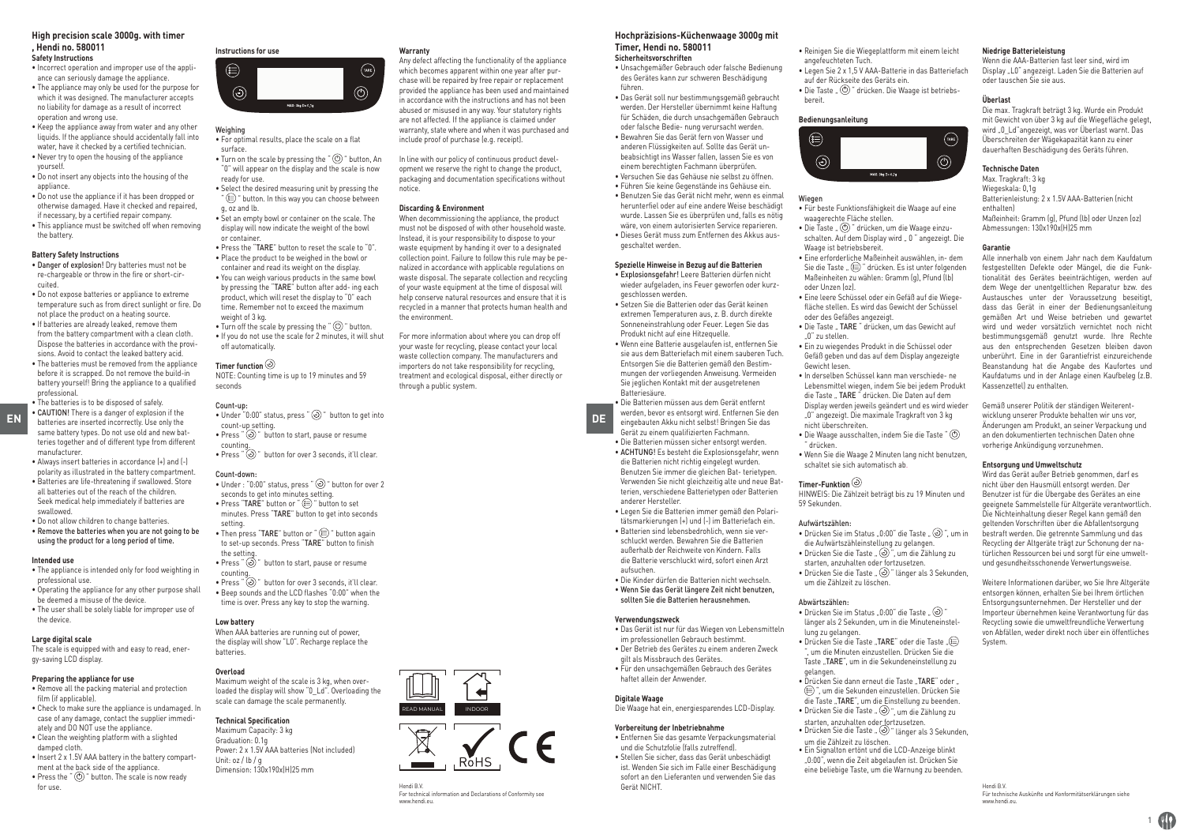#### **High precision scale 3000g. with timer , Hendi no. 580011 Safety Instructions**

• Incorrect operation and improper use of the appli-

- ance can seriously damage the appliance.
- The appliance may only be used for the purpose for which it was designed. The manufacturer accepts no liability for damage as a result of incorrect
- operation and wrong use. • Keep the appliance away from water and any other liquids. If the appliance should accidentally fall into water, have it checked by a certified technician.
- Never try to open the housing of the appliance yourself.
- Do not insert any objects into the housing of the appliance.
- Do not use the appliance if it has been dropped or otherwise damaged. Have it checked and repaired, if necessary, by a certified repair company.
- This appliance must be switched off when removing the battery.

### **Battery Safety Instructions**

- Danger of explosion! Dry batteries must not be re-chargeable or throw in the fire or short-circuited.
- Do not expose batteries or appliance to extreme temperature such as from direct sunlight or fire. Do not place the product on a heating source.
- If batteries are already leaked, remove them from the battery compartment with a clean cloth. Dispose the batteries in accordance with the provisions. Avoid to contact the leaked battery acid.
- The batteries must be removed from the appliance before it is scrapped. Do not remove the build-in battery yourself! Bring the appliance to a qualified professional.

- manufacturer. • Always insert batteries in accordance (+) and (-) polarity as illustrated in the battery compartment. • Batteries are life-threatening if swallowed. Store
- all batteries out of the reach of the children. Seek medical help immediately if batteries are swallowed.
- Do not allow children to change batteries. • Remove the batteries when you are not going to be using the product for a long period of time.

- **Intended use** • The appliance is intended only for food weighting in professional use.
- Operating the appliance for any other purpose shall
- be deemed a misuse of the device. • The user shall be solely liable for improper use of
- the device.

### **Large digital scale**

The scale is equipped with and easy to read, energy-saving LCD display.

### **Preparing the appliance for use**

- Remove all the packing material and protection film lif annlicable)
- Check to make sure the appliance is undamaged. In case of any damage, contact the supplier immediately and DO NOT use the appliance.
- Clean the weighting platform with a slighted damped cloth.
- Insert 2 x 1.5V AAA battery in the battery compartment at the back side of the appliance. • Press the " $\circled{O}$ " button. The scale is now ready
- for use.

# **Instructions for use**



### Weighing

- For optimal results, place the scale on a flat surface.  $\bullet$  Turn on the scale by pressing the " $\circledcirc$ " button, An
- "0" will appear on the display and the scale is now ready for use.
- Select the desired measuring unit by pressing the "  $\circledR$ " button. In this way you can choose between g, oz and lb.
- Set an empty bowl or container on the scale. The display will now indicate the weight of the bowl or container.
- Press the "TARE" button to reset the scale to "0". • Place the product to be weighed in the bowl or container and read its weight on the display. • You can weigh various products in the same bowl by pressing the "TARE" button after add- ing each product, which will reset the display to "0" each time. Remember not to exceed the maximum weight of 3 kg.
- Turn off the scale by pressing the " $\circledcirc$ " button. • If you do not use the scale for 2 minutes, it will shut off automatically.

### **Timer function**

NOTE: Counting time is up to 19 minutes and 59 seconds

### Count-up:

**EN batteries are inserted incorrectly. Use only the end of the count-un setting conditions are inserted incorrectly. Use only the count-un setting** • Under "0:00" status, press "  $\odot$  " button to get into count-up setting. • Press  $\tilde{P}$   $\tilde{Q}$ )" button to start, pause or resume counting.<br>• Press "  $\odot$  " button for over 3 seconds, it'll clear.

### Count-down:

- Under  $: "0:00"$  status, press  $"$   $\odot$   $"$  button for over 2 seconds to get into minutes setting. • Press "TARE" button or " (E) " button to set minutes. Press "TARE" button to get into seconds setting.
- Then press "TARE" button or " I witten again to set-up seconds. Press "TARE" button to finish the setting.
- Press "  $\odot$  " button to start, pause or resume counting.
- Press "  $\odot$  " button for over 3 seconds, it'll clear. • Beep sounds and the LCD flashes "0:00" when the time is over. Press any key to stop the warning.

#### **Low battery**

When AAA batteries are running out of power, the display will show "L0". Recharge replace the batteries.

#### **Overload**

Maximum weight of the scale is 3 kg, when overloaded the display will show "0\_Ld". Overloading the scale can damage the scale permanently.

Hendi B.V.

www.hendi.eu.

For technical information and Declarations of Conformity see

 $\overline{\mathbb{X}}$   $\overline{\mathcal{Y}}$ 

READ MANUAL INDOOR

#### **Technical Specification**

Maximum Capacity: 3 kg Graduation: 0.1g Power: 2 x 1.5V AAA batteries (Not included) Unit: oz / lb / g Dimension: 130x190x(H)25 mm

#### **Warranty**

Any defect affecting the functionality of the appliance which becomes apparent within one year after purchase will be repaired by free repair or replacement provided the appliance has been used and maintained in accordance with the instructions and has not been abused or misused in any way. Your statutory rights are not affected. If the appliance is claimed under warranty, state where and when it was purchased and include proof of purchase (e.g. receipt).

In line with our policy of continuous product development we reserve the right to change the product, packaging and documentation specifications without notice.

#### **Discarding & Environment**

When decommissioning the appliance, the product must not be disposed of with other household waste. Instead, it is your responsibility to dispose to your waste equipment by handing it over to a designated collection point. Failure to follow this rule may be penalized in accordance with applicable regulations on waste disposal. The separate collection and recycling of your waste equipment at the time of disposal will help conserve natural resources and ensure that it is recycled in a manner that protects human health and the environment.

For more information about where you can drop off your waste for recycling, please contact your local waste collection company. The manufacturers and importers do not take responsibility for recycling, treatment and ecological disposal, either directly or through a public system.

# **Hochpräzisions-Küchenwaage 3000g mit**

#### **Timer, Hendi no. 580011 Sicherheitsvorschriften**

• Unsachgemäßer Gebrauch oder falsche Bedienung des Gerätes kann zur schweren Beschädigung führen.

• Das Gerät soll nur bestimmungsgemäß gebraucht werden. Der Hersteller übernimmt keine Haftung für Schäden, die durch unsachgemäßen Gebrauch oder falsche Bedie- nung verursacht werden. • Bewahren Sie das Gerät fern von Wasser und anderen Flüssigkeiten auf. Sollte das Gerät unbeabsichtigt ins Wasser fallen, lassen Sie es von einem berechtigten Fachmann überprüfen. • Versuchen Sie das Gehäuse nie selbst zu öffnen. • Führen Sie keine Gegenstände ins Gehäuse ein. • Benutzen Sie das Gerät nicht mehr, wenn es einmal herunterfiel oder auf eine andere Weise beschädigt wurde. Lassen Sie es überprüfen und, falls es nötig wäre, von einem autorisierten Service reparieren. • Dieses Gerät muss zum Entfernen des Akkus ausgeschaltet werden.

### **Spezielle Hinweise in Bezug auf die Batterien**

- Explosionsgefahr! Leere Batterien dürfen nicht wieder aufgeladen, ins Feuer geworfen oder kurzgeschlossen werden.
- Setzen Sie die Batterien oder das Gerät keinen extremen Temperaturen aus, z. B. durch direkte Sonneneinstrahlung oder Feuer. Legen Sie das Produkt nicht auf eine Hitzequelle.
- Wenn eine Batterie ausgelaufen ist, entfernen Sie sie aus dem Batteriefach mit einem sauberen Tuch. Entsorgen Sie die Batterien gemäß den Bestimmungen der vorliegenden Anweisung. Vermeiden Sie jeglichen Kontakt mit der ausgetretenen Batteriesäure.

• Die Batterien müssen aus dem Gerät entfernt werden, bevor es entsorgt wird. Entfernen Sie den eingebauten Akku nicht selbst! Bringen Sie das Gerät zu einem qualifizierten Fachmann.

- Die Batterien müssen sicher entsorgt werden. • ACHTUNG! Es besteht die Explosionsgefahr, wenn die Batterien nicht richtig eingelegt wurden. Benutzen Sie immer die gleichen Bat- terietypen. Verwenden Sie nicht gleichzeitig alte und neue Batterien, verschiedene Batterietypen oder Batterien anderer Hersteller.
- Legen Sie die Batterien immer gemäß den Polaritätsmarkierungen (+) und (-) im Batteriefach ein. • Batterien sind lebensbedrohlich, wenn sie verschluckt werden. Bewahren Sie die Batterien außerhalb der Reichweite von Kindern. Falls die Batterie verschluckt wird, sofort einen Arzt aufsuchen.
- Die Kinder dürfen die Batterien nicht wechseln. • Wenn Sie das Gerät längere Zeit nicht benutzen, sollten Sie die Batterien herausnehmen.

#### **Verwendungszweck**

- Das Gerät ist nur für das Wiegen von Lebensmitteln im professionellen Gebrauch bestimmt.
- Der Betrieb des Gerätes zu einem anderen Zweck gilt als Missbrauch des Gerätes.
- Für den unsachgemäßen Gebrauch des Gerätes haftet allein der Anwender.

# **Digitale Waage**

Die Waage hat ein, energiesparendes LCD-Display.

### **Vorbereitung der Inbetriebnahme**

• Entfernen Sie das gesamte Verpackungsmaterial und die Schutzfolie (falls zutreffend). • Stellen Sie sicher, dass das Gerät unbeschädigt ist. Wenden Sie sich im Falle einer Beschädigung

sofort an den Lieferanten und verwenden Sie das Gerät NICHT.

• Reinigen Sie die Wiegeplattform mit einem leicht angefeuchteten Tuch.

**Niedrige Batterieleistung**

oder tauschen Sie sie aus.

**Überlast**

**Technische Daten** Max. Tragkraft: 3 kg Wiegeskala: 0,1g

enthalten)

**Garantie**

Kassenzettel) zu enthalten.

Gemäß unserer Politik der ständigen Weiterentwicklung unserer Produkte behalten wir uns vor, Änderungen am Produkt, an seiner Verpackung und an den dokumentierten technischen Daten ohne vorherige Ankündigung vorzunehmen. **Entsorgung und Umweltschutz**

Wird das Gerät außer Betrieb genommen, darf es nicht über den Hausmüll entsorgt werden. Der Benutzer ist für die Übergabe des Gerätes an eine geeignete Sammelstelle für Altgeräte verantwortlich. Die Nichteinhaltung dieser Regel kann gemäß den geltenden Vorschriften über die Abfallentsorgung bestraft werden. Die getrennte Sammlung und das Recycling der Altgeräte trägt zur Schonung der natürlichen Ressourcen bei und sorgt für eine umweltund gesundheitsschonende Verwertungsweise. Weitere Informationen darüber, wo Sie Ihre Altgeräte entsorgen können, erhalten Sie bei Ihrem örtlichen Entsorgungsunternehmen. Der Hersteller und der Importeur übernehmen keine Verantwortung für das Recycling sowie die umweltfreundliche Verwertung von Abfällen, weder direkt noch über ein öffentliches

Wenn die AAA-Batterien fast leer sind, wird im Display "L0" angezeigt. Laden Sie die Batterien auf

Die max. Tragkraft beträgt 3 kg. Wurde ein Produkt mit Gewicht von über 3 kg auf die Wiegefläche gelegt, wird "0\_Ld"angezeigt, was vor Überlast warnt. Das Überschreiten der Wägekapazität kann zu einer dauerhaften Beschädigung des Geräts führen.

Batterienleistung: 2 x 1.5V AAA-Batterien (nicht

Maßeinheit: Gramm (g), Pfund (lb) oder Unzen (oz) Abmessungen: 130x190x(H)25 mm

Alle innerhalb von einem Jahr nach dem Kaufdatum festgestellten Defekte oder Mängel, die die Funktionalität des Gerätes beeinträchtigen, werden auf dem Wege der unentgeltlichen Reparatur bzw. des Austausches unter der Voraussetzung beseitigt, dass das Gerät in einer der Bedienungsanleitung gemäßen Art und Weise betrieben und gewartet wird und weder vorsätzlich vernichtet noch nicht bestimmungsgemäß genutzt wurde. Ihre Rechte aus den entsprechenden Gesetzen bleiben davon unberührt. Eine in der Garantiefrist einzureichende Beanstandung hat die Angabe des Kaufortes und Kaufdatums und in der Anlage einen Kaufbeleg (z.B.

- Legen Sie 2 x 1,5 V AAA-Batterie in das Batteriefach auf der Rückseite des Geräts ein.
- Die Taste " " drücken. Die Waage ist betriebsbereit.

### **Bedienungsanleitung**



#### Wienen

- Für beste Funktionsfähigkeit die Waage auf eine waagerechte Fläche stellen.
- Die Taste " " drücken, um die Waage einzuschalten. Auf dem Display wird "0" angezeigt. Die Waage ist betriebsbereit.
- Eine erforderliche Maßeinheit auswählen, in- dem Sie die Taste " (E) " drücken. Es ist unter folgenden Maßeinheiten zu wählen: Gramm (g), Pfund (lb) oder Unzen (oz).
- Eine leere Schüssel oder ein Gefäß auf die Wiegefläche stellen. Es wird das Gewicht der Schüssel oder des Gefäßes angezeigt.
- Die Taste " TARE" drücken, um das Gewicht auf "0" zu stellen.
- Ein zu wiegendes Produkt in die Schüssel oder Gefäß geben und das auf dem Display angezeigte Gewicht lesen.
- In derselben Schüssel kann man verschiede- ne Lebensmittel wiegen, indem Sie bei jedem Produkt die Taste " TARE " drücken. Die Daten auf dem Display werden jeweils geändert und es wird wieder "0" angezeigt. Die maximale Tragkraft von 3 kg nicht überschreiten.
- Die Waage ausschalten, indem Sie die Taste " " drücken.
- Wenn Sie die Waage 2 Minuten lang nicht benutzen, schaltet sie sich automatisch ab.

#### **Timer-Funktion**

HINWEIS: Die Zählzeit beträgt bis zu 19 Minuten und 59 Sekunden.

die Aufwärtszähleinstellung zu gelangen. • Drücken Sie die Taste " (v ", um die Zählung zu starten, anzuhalten oder fortzusetzen. • Drücken Sie die Taste " (2) " länger als 3 Sekunden,

• Drücken Sie im Status (0:00" die Taste (v) länger als 2 Sekunden, um in die Minuteneinstel-

• Drücken Sie die Taste "TARE" oder die Taste ...<sup>(114</sup>) ", um die Minuten einzustellen. Drücken Sie die Taste "TARE", um in die Sekundeneinstellung zu

• Drücken Sie dann erneut die Taste "TARE" oder " ", um die Sekunden einzustellen. Drücken Sie die Taste "TARE", um die Einstellung zu beenden. • Drücken Sie die Taste " $\odot$ " um die Zählung zu starten, anzuhalten oder fortzusetzen. • Drücken Sie die Taste " " länger als 3 Sekunden,

• Ein Signalton ertönt und die LCD-Anzeige blinkt "0:00", wenn die Zeit abgelaufen ist. Drücken Sie eine beliebige Taste, um die Warnung zu beenden.

um die Zählzeit zu löschen.

um die Zählzeit zu löschen.

1

CO

Hendi B.V.

System.

www.hendi.eu.

Für technische Auskünfte und Konformitätserklärungen siehe

#### Aufwärtszählen: • Drücken Sie im Status "0:00" die Taste " (0) ", um in

Abwärtszählen:

gelangen.

lung zu gelangen.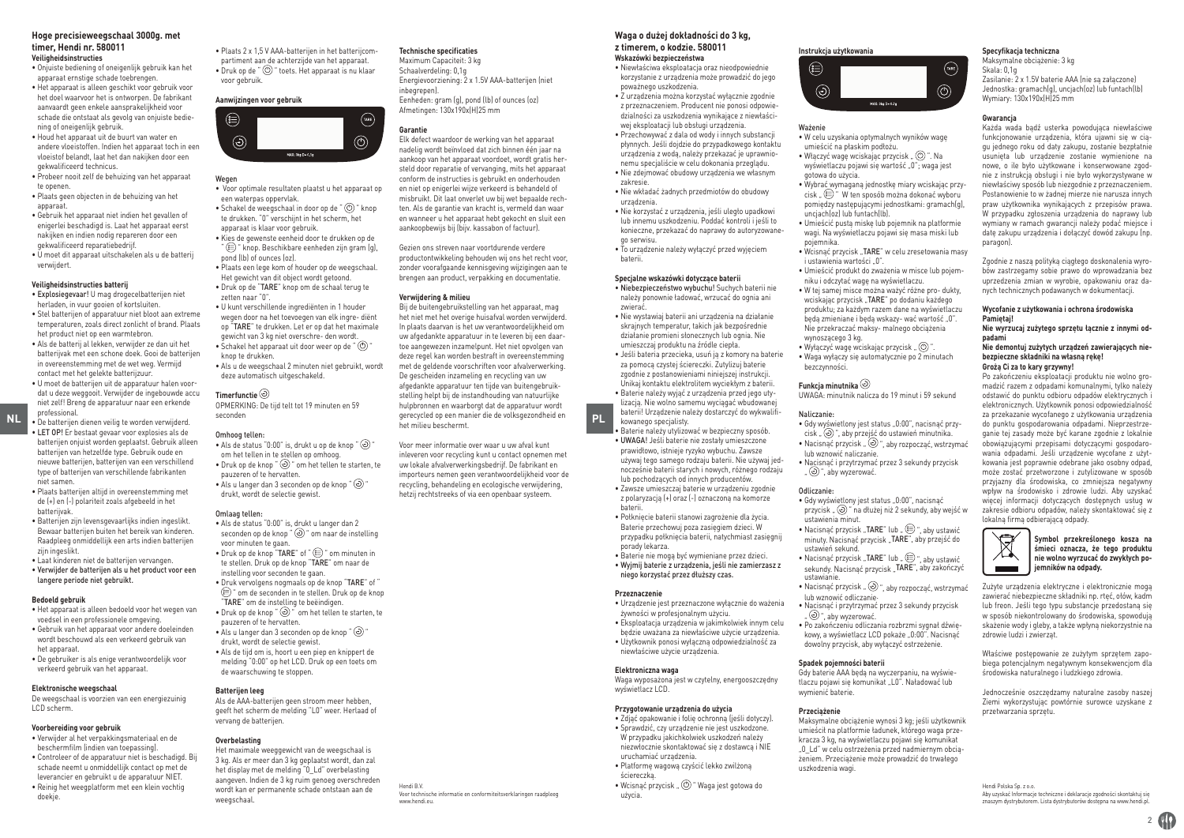#### **Hoge precisieweegschaal 3000g. met timer, Hendi nr. 580011 Veiligheidsinstructies**

- Onjuiste bediening of oneigenlijk gebruik kan het apparaat ernstige schade toebrengen. • Het apparaat is alleen geschikt voor gebruik voor
- het doel waarvoor het is ontworpen. De fabrikant aanvaardt geen enkele aansprakelijkheid voor schade die ontstaat als gevolg van onjuiste bediening of oneigenlijk gebruik.
- Houd het apparaat uit de buurt van water en andere vloeistoffen. Indien het apparaat toch in een vloeistof belandt, laat het dan nakijken door een gekwalificeerd technicus.
- Probeer nooit zelf de behuizing van het apparaat te openen. • Plaats geen objecten in de behuizing van het
- apparaat. • Gebruik het apparaat niet indien het gevallen of
- enigerlei beschadigd is. Laat het apparaat eerst nakijken en indien nodig repareren door een gekwalificeerd reparatiebedrijf.
- U moet dit apparaat uitschakelen als u de batterij verwijdert.

### **Veiligheidsinstructies batterij**

- Explosiegevaar! U mag drogecelbatterijen niet herladen, in vuur gooien of kortsluiten.
- Stel batterijen of apparatuur niet bloot aan extreme temperaturen, zoals direct zonlicht of brand. Plaats het product niet op een warmtebron.
- Als de batterij al lekken, verwijder ze dan uit het batterijvak met een schone doek. Gooi de batterijen in overeenstemming met de wet weg. Vermijd contact met het gelekte batterijzuur.
- U moet de batterijen uit de apparatuur halen voordat u deze weggooit. Verwijder de ingebouwde accu niet zelf! Breng de apparatuur naar een erkende professional.
- LET OP! Er bestaat gevaar voor explosies als de batterijen onjuist worden geplaatst. Gebruik alleen batterijen van hetzelfde type. Gebruik oude en nieuwe batterijen, batterijen van een verschillend type of batterijen van verschillende fabrikanten niet samen.
- Plaats batterijen altijd in overeenstemming met de (+) en (-) polariteit zoals afgebeeld in het batterijvak.
- Batterijen zijn levensgevaarlijks indien ingeslikt. Bewaar batterijen buiten het bereik van kinderen. Raadpleeg onmiddellijk een arts indien batterijen zijn ingeslikt.
- Laat kinderen niet de batterijen vervangen. • Verwijder de batterijen als u het product voor een langere periode niet gebruikt.

#### **Bedoeld gebruik**

- Het apparaat is alleen bedoeld voor het wegen van voedsel in een professionele omgeving.
- Gebruik van het apparaat voor andere doeleinden wordt beschouwd als een verkeerd gebruik van het annaraat.
- De gebruiker is als enige verantwoordelijk voor verkeerd gebruik van het apparaat.

#### **Elektronische weegschaal**

De weegschaal is voorzien van een energiezuinig LCD scherm.

#### **Voorbereiding voor gebruik**

- Verwijder al het verpakkingsmateriaal en de beschermfilm (indien van toepassing).
- Controleer of de apparatuur niet is beschadigd. Bij schade neemt u onmiddellijk contact op met de leverancier en gebruikt u de apparatuur NIET. • Reinig het weegplatform met een klein vochtig doekje.

• Plaats 2 x 1,5 V AAA-batterijen in het batterijcompartiment aan de achterzijde van het apparaat. • Druk op de "  $\circlearrowright$  " toets. Het apparaat is nu klaar voor gebruik.

## **Aanwijzingen voor gebruik**



#### Wegen

• Voor optimale resultaten plaatst u het apparaat op een waterpas oppervlak.

- Schakel de weegschaal in door op de " $\circledcirc$ " knop te drukken. "0" verschijnt in het scherm, het apparaat is klaar voor gebruik. • Kies de gewenste eenheid door te drukken op de
- $\hat{r}\left(\widehat{r}\right)$ " knop. Beschikbare eenheden zijn gram (g), pond (lb) of ounces (oz). • Plaats een lege kom of houder op de weegschaal.
- Het gewicht van dit object wordt getoond. • Druk op de "TARE" knop om de schaal terug te zetten naar "0".
- U kunt verschillende ingrediënten in 1 houder wegen door na het toevoegen van elk ingre- diënt op "TARE" te drukken. Let er op dat het maximale gewicht van 3 kg niet overschre- den wordt. • Schakel het apparaat uit door weer op de " (0) knop te drukken.

• Als u de weegschaal 2 minuten niet gebruikt, wordt deze automatisch uitgeschakeld.

### **Timerfunctie**

OPMERKING: De tijd telt tot 19 minuten en 59 seconden

#### Omhoog tellen:

• Als de status "0:00" is, drukt u op de knop " $\textcircled{\tiny{3}}$ " om het tellen in te stellen op omhoog.  $\bullet$  Druk op de knop " $\odot$ " om het tellen te starten, te pauzeren of te hervatten.  $\bullet$  Als u langer dan 3 seconden op de knop " $\circledcirc$ " drukt, wordt de selectie gewist.

### Omlaan tellen:

• Als de status "0:00" is, drukt u langer dan 2 seconden op de knop " $\odot$ " om naar de instelling voor minuten te gaan. • Druk op de knop "TARE" of " I om minuten in te stellen. Druk op de knop "TARE" om naar de instelling voor seconden te gaan. • Druk vervolgens nogmaals op de knop "TARE" of " " om de seconden in te stellen. Druk op de knop "TARE" om de instelling te beëindigen. • Druk op de knop " $\odot$ " om het tellen te starten, te pauzeren of te hervatten. • Als u langer dan 3 seconden op de knop " $\circledcirc$ " drukt, wordt de selectie gewist. • Als de tijd om is, hoort u een piep en knippert de melding "0:00" op het LCD. Druk op een toets om de waarschuwing te stoppen.

### **Batterijen leeg**

Als de AAA-batterijen geen stroom meer hebben, geeft het scherm de melding "L0" weer. Herlaad of vervang de batterijen.

### **Overbelasting**

Het maximale weeggewicht van de weegschaal is 3 kg. Als er meer dan 3 kg geplaatst wordt, dan zal het display met de melding "0\_Ld" overbelasting aangeven. Indien de 3 kg ruim genoeg overschreden wordt kan er permanente schade ontstaan aan de weegschaal.

Hendi B.V.

www.hendi.eu.

#### **Technische specificaties**

Maximum Capaciteit: 3 kg Schaalverdeling: 0,1g Energievoorziening: 2 x 1.5V AAA-batterijen (niet inbegrepen). Eenheden: gram (g), pond (lb) of ounces (oz) Afmetingen: 130x190x(H)25 mm

#### **Garantie**

Elk defect waardoor de werking van het apparaat nadelig wordt beïnvloed dat zich binnen één jaar na aankoop van het apparaat voordoet, wordt gratis hersteld door reparatie of vervanging, mits het apparaat conform de instructies is gebruikt en onderhouden en niet op enigerlei wijze verkeerd is behandeld of misbruikt. Dit laat onverlet uw bij wet bepaalde rechten. Als de garantie van kracht is, vermeld dan waar en wanneer u het apparaat hebt gekocht en sluit een aankoopbewijs bij (bijv. kassabon of factuur).

Gezien ons streven naar voortdurende verdere productontwikkeling behouden wij ons het recht voor, zonder voorafgaande kennisgeving wijzigingen aan te brengen aan product, verpakking en documentatie.

#### **Verwijdering & milieu**

**NL** • **PLO PLACE CONCERT CONCERT SECONDER PLACE CONCERT CONCERT CONCERT CONCERT CONCERT PLACE CONCERT PLACE CONCERT PLACE CONCERT PLACE CONCERT PLACE CONCERT PLACE CONCERT PLACE CONCERT PLACE CONCERT PLACE CONCERT PLACE** Bij de buitengebruikstelling van het apparaat, mag het niet met het overige huisafval worden verwijderd. In plaats daarvan is het uw verantwoordelijkheid om uw afgedankte apparatuur in te leveren bij een daartoe aangewezen inzamelpunt. Het niet opvolgen van deze regel kan worden bestraft in overeenstemming met de geldende voorschriften voor afvalverwerking. De gescheiden inzameling en recycling van uw afgedankte apparatuur ten tijde van buitengebruikstelling helpt bij de instandhouding van natuurlijke hulpbronnen en waarborgt dat de apparatuur wordt gerecycled op een manier die de volksgezondheid en het milieu beschermt.

> Voor meer informatie over waar u uw afval kunt inleveren voor recycling kunt u contact opnemen met uw lokale afvalverwerkingsbedrijf. De fabrikant en importeurs nemen geen verantwoordelijkheid voor de recycling, behandeling en ecologische verwijdering, hetzij rechtstreeks of via een openbaar systeem.

Voor technische informatie en conformiteitsverklaringen raadpleeg

#### **Waga o dużej dokładności do 3 kg, z timerem, o kodzie. 580011**

**Wskazówki bezpieczeństwa**

• Niewłaściwa eksploatacja oraz nieodpowiednie korzystanie z urządzenia może prowadzić do jego poważnego uszkodzenia.

• Z urządzenia można korzystać wyłącznie zgodnie z przeznaczeniem. Producent nie ponosi odpowiedzialności za uszkodzenia wynikające z niewłaściwej eksploatacji lub obsługi urządzenia.

• Przechowywać z dala od wody i innych substancji płynnych. Jeśli dojdzie do przypadkowego kontaktu urządzenia z wodą, należy przekazać je uprawnionemu specjaliście w celu dokonania przeglądu. • Nie zdejmować obudowy urządzenia we własnym zakresie.

- Nie wkładać żadnych przedmiotów do obudowy urządzenia.
- Nie korzystać z urządzenia, jeśli uległo upadkowi lub innemu uszkodzeniu. Poddać kontroli i jeśli to konieczne, przekazać do naprawy do autoryzowanego serwisu.
- To urządzenie należy wyłączyć przed wyjęciem baterii.

#### **Specjalne wskazówki dotyczące baterii** • Niebezpieczeństwo wybuchu! Suchych baterii nie

- należy ponownie ładować, wrzucać do ognia ani zwierać. • Nie wystawiaj baterii ani urządzenia na działanie skrajnych temperatur, takich jak bezpośrednie działanie promieni słonecznych lub ognia. Nie umieszczaj produktu na źródle ciepła.
- Jeśli bateria przecieka, usuń ją z komory na baterie za pomocą czystej ściereczki. Zutylizuj baterie zgodnie z postanowieniami niniejszej instrukcji. Unikaj kontaktu elektrolitem wyciekłym z baterii. • Baterie należy wyjąć z urządzenia przed jego utylizacją. Nie wolno samemu wyciągać wbudowanej baterii! Urządzenie należy dostarczyć do wykwalifikowanego specjalisty.
- Baterie należy utylizować w bezpieczny sposób. • UWAGA! Jeśli baterie nie zostały umieszczone prawidłowo, istnieje ryzyko wybuchu. Zawsze używaj tego samego rodzaju baterii. Nie używaj jednocześnie baterii starych i nowych, różnego rodzaju lub pochodzących od innych producentów.
- Zawsze umieszczaj baterie w urządzeniu zgodnie z polaryzacją (+) oraz (-) oznaczoną na komorze baterii.
- Połknięcie baterii stanowi zagrożenie dla życia. Baterie przechowuj poza zasięgiem dzieci. W przypadku połknięcia baterii, natychmiast zasięgnij porady lekarza.
- Baterie nie mogą być wymieniane przez dzieci. • Wyjmij baterie z urządzenia, jeśli nie zamierzasz z niego korzystać przez dłuższy czas.

#### **Przeznaczenie**

- Urządzenie jest przeznaczone wyłącznie do ważenia żywności w profesjonalnym użyciu.
- Eksploatacja urządzenia w jakimkolwiek innym celu
- będzie uważana za niewłaściwe użycie urządzenia. • Użytkownik ponosi wyłączną odpowiedzialność za niewłaściwe użycie urządzenia.

#### **Elektroniczna waga**

Waga wyposażona jest w czytelny, energooszczędny wyświetlacz LCD.

#### **Przygotowanie urządzenia do użycia**

- Zdjąć opakowanie i folię ochronną (jeśli dotyczy). • Sprawdzić, czy urządzenie nie jest uszkodzone. W przypadku jakichkolwiek uszkodzeń należy niezwłocznie skontaktować się z dostawcą i NIE uruchamiać urządzenia.
- Platformę wagową czyścić lekko zwilżoną
- ściereczką. • Wcisnać przycisk " $\circledcirc$ " Waga jest gotowa do użycia.
	-



**Gwarancja**

paragon).

**Pamiętaj!**

**padami**

Każda wada bądź usterka powodująca niewłaściwe funkcjonowanie urządzenia, która ujawni się w ciągu jednego roku od daty zakupu, zostanie bezpłatnie usunięta lub urządzenie zostanie wymienione na nowe, o ile było użytkowane i konserwowane zgodnie z instrukcją obsługi i nie było wykorzystywane w niewłaściwy sposób lub niezgodnie z przeznaczeniem. Postanowienie to w żadnej mierze nie narusza innych praw użytkownika wynikających z przepisów prawa. W przypadku zgłoszenia urządzenia do naprawy lub wymiany w ramach gwarancii należy podać miejsce i datę zakupu urządzenia i dołączyć dowód zakupu (np.

Zgodnie z naszą polityką ciągłego doskonalenia wyrobów zastrzegamy sobie prawo do wprowadzania bez uprzedzenia zmian w wyrobie, opakowaniu oraz danych technicznych podawanych w dokumentacji. **Wycofanie z użytkowania i ochrona środowiska** 

**Nie wyrzucaj zużytego sprzętu łącznie z innymi od-**

**Nie demontuj zużytych urządzeń zawierających niebezpieczne składniki na własną rękę! Grożą Ci za to kary grzywny!**

Po zakończeniu eksploatacji produktu nie wolno gromadzić razem z odpadami komunalnymi, tylko należy odstawić do punktu odbioru odpadów elektrycznych i elektronicznych. Użytkownik ponosi odpowiedzialność za przekazanie wycofanego z użytkowania urządzenia do punktu gospodarowania odpadami. Nieprzestrzeganie tej zasady może być karane zgodnie z lokalnie obowiązującymi przepisami dotyczącymi gospodarowania odpadami. Jeśli urządzenie wycofane z użytkowania jest poprawnie odebrane jako osobny odpad, może zostać przetworzone i zutylizowane w sposób przyjazny dla środowiska, co zmniejsza negatywny wpływ na środowisko i zdrowie ludzi. Aby uzyskać więcej informacji dotyczących dostępnych usług w zakresie odbioru odpadów, należy skontaktować się z

**Symbol przekreślonego kosza na śmieci oznacza, że tego produktu nie wolno wyrzucać do zwykłych pojemników na odpady.** Zużyte urządzenia elektryczne i elektronicznie mogą zawierać niebezpieczne składniki np. rtęć, ołów, kadm lub freon. Jeśli tego typu substancje przedostaną się w sposób niekontrolowany do środowiska, spowodują skażenie wody i gleby, a także wpłyną niekorzystnie na

lokalną firmą odbierającą odpady.

zdrowie ludzi i zwierząt.

 $\boxtimes$  $\sim$ 

przetwarzania sprzętu.

#### Ważenie

- W celu uzyskania optymalnych wyników wagę umieścić na płaskim podłożu.
- Włączyć wagę wciskając przycisk " (O)". Na wyświetlaczu pojawi się wartość "0"; waga jest gotowa do użycia.
- Wybrać wymaganą jednostkę miary wciskając przy- ${\rm cisk}$   $\circled{=}$  " W ten sposób można dokonać wyboru pomiędzy następującymi jednostkami: gramach(g), uncjach(oz) lub funtach(lb).
- Umieścić pustą miskę lub pojemnik na platformie wagi. Na wyświetlaczu pojawi się masa miski lub pojemnika.
- Wcisnąć przycisk "TARE" w celu zresetowania masy i ustawienia wartości 0"
- Umieścić produkt do zważenia w misce lub pojemniku i odczytać wagę na wyświetlaczu.
- W tej samej misce można ważyć różne pro- dukty, wciskając przycisk "TARE" po dodaniu każdego produktu; za każdym razem dane na wyświetlaczu będą zmieniane i będą wskazy- wać wartość "0". Nie przekraczać maksy- malnego obciążenia wynoszącego 3 kg. • Wyłączyć wagę wciskając przycisk " ".
- Waga wyłączy się automatycznie po 2 minutach bezczynności.

## **Funkcja minutnika**

UWAGA: minutnik nalicza do 19 minut i 59 sekund

#### Naliczanie:

- Gdy wyświetlony jest status "0:00", nacisnać przycisk " ", aby przejść do ustawień minutnika.
- $\bullet$  Nacisnać przycisk " $\odot$ " aby rozpocząć, wstrzymać lub wznowić naliczanie.
- Nacisnąć i przytrzymać przez 3 sekundy przycisk ., (c)", aby wyzerować.

#### Odliczanie:

lub wznowić odliczanie.

**Spadek pojemności baterii**

wymienić baterie. **Przeciążenie**

uszkodzenia wagi.

- Gdy wyświetlony jest status "0:00", nacisnąć  $prz$ vcisk  $\Box$   $\odot$  " na dłużej niż 2 sekundy, aby wejść w ustawienia minut.
- Nacisnąć przycisk "TARE" lub " $\bigcirc$ ", aby ustawić minuty. Nacisnąć przycisk "TARE", aby przejść do ustawień sekund.
- Nacisnąć przycisk "TARE" lub " $\circledast$ ", aby ustawić sekundy. Nacisnąć przycisk "TARE", aby zakończyć ustawianie. • Nacisnąć przycisk " $\textcircled{2}$ ", aby rozpocząć, wstrzymać

• Nacisnąć i przytrzymać przez 3 sekundy przycisk " ", aby wyzerować. • Po zakończeniu odliczania rozbrzmi sygnał dźwiękowy, a wyświetlacz LCD pokaże "0:00". Nacisnąć dowolny przycisk, aby wyłączyć ostrzeżenie.

Gdy baterie AAA będą na wyczerpaniu, na wyświetlaczu pojawi się komunikat "L0". Naładować lub

Maksymalne obciążenie wynosi 3 kg; jeśli użytkownik umieścił na platformie ładunek, którego waga przekracza 3 kg, na wyświetlaczu pojawi się komunikat "0\_Ld" w celu ostrzeżenia przed nadmiernym obciążeniem. Przeciążenie może prowadzić do trwałego

 $2$  CD

Hendi Polska Sp. z o.o.

Aby uzyskać Informacje techniczne i deklaracje zgodności skontaktuj się znaszym dystrybutorem. Lista dystrybutorów dostępna na www.hendi.p

Właściwe postępowanie ze zużytym sprzętem zapobiega potencjalnym negatywnym konsekwencjom dla środowiska naturalnego i ludzkiego zdrowia. Jednocześnie oszczędzamy naturalne zasoby naszej Ziemi wykorzystując powtórnie surowce uzyskane z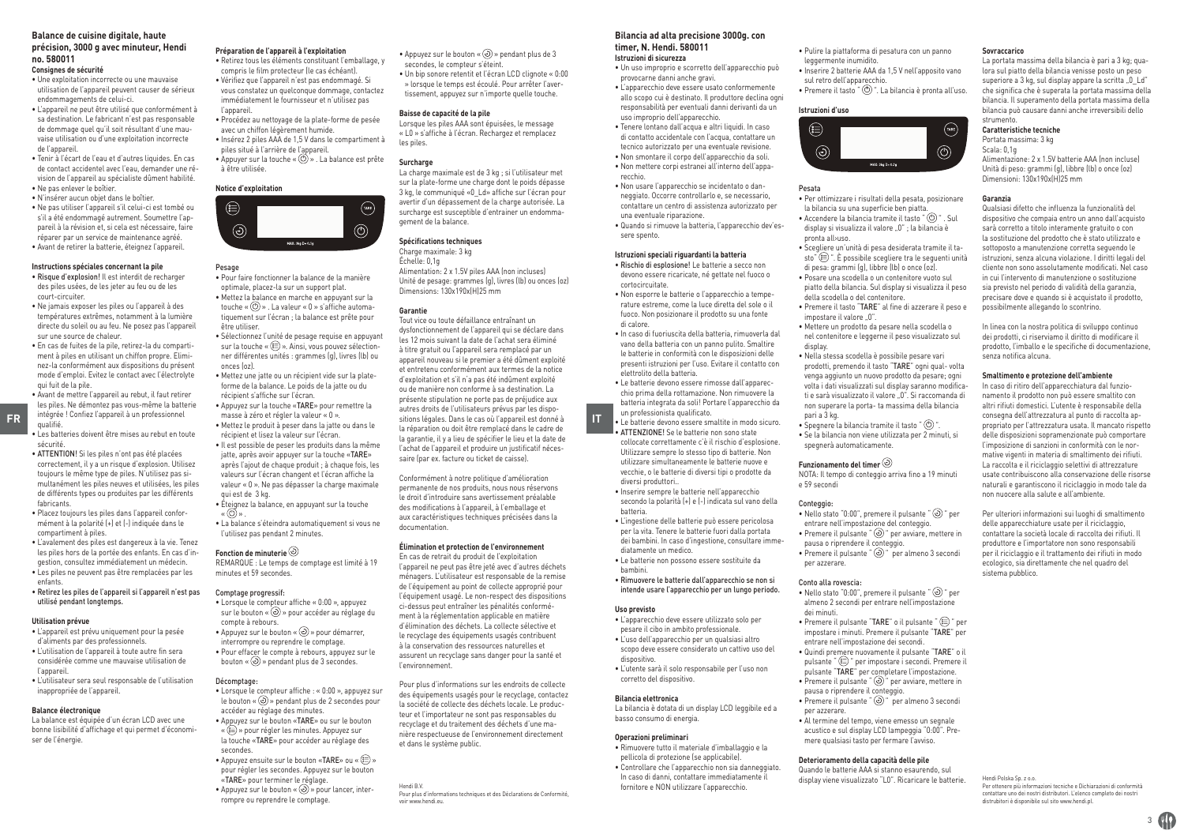## **Balance de cuisine digitale, haute**

#### **précision, 3000 g avec minuteur, Hendi no. 580011 Consignes de sécurité**

- Une exploitation incorrecte ou une mauvaise utilisation de l'appareil peuvent causer de sérieux endommagements de celui-ci.
- L'appareil ne peut être utilisé que conformément à sa destination. Le fabricant n'est pas responsable de dommage quel qu'il soit résultant d'une mauvaise utilisation ou d'une exploitation incorrecte de l'appareil.
- Tenir à l'écart de l'eau et d'autres liquides. En cas de contact accidentel avec l'eau, demander une révision de l'appareil au spécialiste dûment habilité.
- Ne pas enlever le boîtier. • N'insérer aucun objet dans le boîtier.
- Ne pas utiliser l'appareil s'il celui-ci est tombé ou s'il a été endommagé autrement. Soumettre l'appareil à la révision et, si cela est nécessaire, faire réparer par un service de maintenance agréé. • Avant de retirer la batterie, éteignez l'appareil.
- 

### **Instructions spéciales concernant la pile**

- Risque d'explosion! Il est interdit de recharger des piles usées, de les jeter au feu ou de les court-circuiter.
- Ne jamais exposer les piles ou l'appareil à des températures extrêmes, notamment à la lumière directe du soleil ou au feu. Ne posez pas l'appareil sur une source de chaleur.
- En cas de fuites de la pile, retirez-la du compartiment à piles en utilisant un chiffon propre. Eliminez-la conformément aux dispositions du présent mode d'emploi. Evitez le contact avec l'électrolyte qui fuit de la pile.
- **FR** Integree : Connez capparent a un protessionnel masse a zero et regier la valeur « u ».<br>A lettra la produit à proceduit à proceduit à un serou dans le sitions légales. Dans le cas où l'appareil est donné à **IT** • Avant de mettre l'appareil au rebut, il faut retirer les piles. Ne démontez pas vous-même la batterie intégrée ! Confiez l'appareil à un professionnel qualifié.
- 
- Les batteries doivent être mises au rebut en toute sécurité.
- ATTENTION! Si les piles n'ont pas été placées correctement, il y a un risque d'explosion. Utilisez toujours le même type de piles. N'utilisez pas simultanément les piles neuves et utilisées, les piles de différents types ou produites par les différents fabricants.
- Placez toujours les piles dans l'appareil conformément à la polarité (+) et (-) indiquée dans le compartiment à piles.
- L'avalement des piles est dangereux à la vie. Tenez les piles hors de la portée des enfants. En cas d'ingestion, consultez immédiatement un médecin.
- Les piles ne peuvent pas être remplacées par les enfants.
- Retirez les piles de l'appareil si l'appareil n'est pas utilisé pendant longtemps.

### **Utilisation prévue**

- L'appareil est prévu uniquement pour la pesée d'aliments par des professionnels.
- L'utilisation de l'appareil à toute autre fin sera considérée comme une mauvaise utilisation de l'appareil.
- L'utilisateur sera seul responsable de l'utilisation inappropriée de l'appareil.

#### **Balance électronique**

La balance est équipée d'un écran LCD avec une bonne lisibilité d'affichage et qui permet d'économiser de l'énergie.

### **Préparation de l'appareil à l'exploitation**

• Retirez tous les éléments constituant l'emballage, y compris le film protecteur (le cas échéant). • Vérifiez que l'appareil n'est pas endommagé. Si vous constatez un quelconque dommage, contactez immédiatement le fournisseur et n'utilisez pas l'appareil.

• Procédez au nettoyage de la plate-forme de pesée avec un chiffon légèrement humide • Insérez 2 piles AAA de 1,5 V dans le compartiment à piles situé à l'arrière de l'appareil.

 $\bullet$  Appuyer sur la touche « $\circledcirc$ ». La balance est prête à être utilisée.

#### **Notice d'exploitation**



### Pesage

- Pour faire fonctionner la balance de la manière optimale, placez-la sur un support plat. • Mettez la balance en marche en appuyant sur la touche «  $\circledcirc$  » . La valeur «  $0$  » s'affiche automatiquement sur l'écran ; la balance est prête pour être utiliser.
- Sélectionnez l'unité de pesage requise en appuyant sur la touche «  $\textcircled{\texttt{m}}$  ». Ainsi, vous pouvez sélectionner différentes unités : grammes (g), livres (lb) ou onces (oz).
- Mettez une jatte ou un récipient vide sur la plateforme de la balance. Le poids de la jatte ou du
- récipient s'affiche sur l'écran. • Appuyez sur la touche «TARE» pour remettre la masse à zéro et régler la valeur « 0 ».
- Mettez le produit à peser dans la jatte ou dans le récipient et lisez la valeur sur l'écran.
- Il est possible de peser les produits dans la même jatte, après avoir appuyer sur la touche «TARE» après l'ajout de chaque produit ; à chaque fois, les valeurs sur l'écran changent et l'écran affiche la valeur « 0 ». Ne pas dépasser la charge maximale qui est de 3 kg.
- Éteignez la balance, en appuyant sur la touche « » . • La balance s'éteindra automatiquement si vous ne
- l'utilisez pas pendant 2 minutes.

#### **Fonction de minuterie**

REMARQUE : Le temps de comptage est limité à 19 minutes et 59 secondes.

#### Comptage progressif:

• Lorsque le compteur affiche « 0:00 », appuyez sur le bouton «  $\odot$  » pour accéder au réglage du compte à rebours. • Appuyez sur le bouton «  $\odot$  » pour démarrer. interrompre ou reprendre le comptage. • Pour effacer le compte à rebours, appuyez sur le bouton « $\circledcirc$ » pendant plus de 3 secondes.

#### Décomptage:

- Lorsque le compteur affiche : « 0:00 », appuyez sur le bouton « » pendant plus de 2 secondes pour accéder au réglage des minutes. • Appuyez sur le bouton «TARE» ou sur le bouton « » pour régler les minutes. Appuyez sur la touche «TARE» pour accéder au réglage des secondes.
- $\bullet$  Appuyez ensuite sur le bouton «TARE» ou « $\textcircled{\scriptsize{\textsf{m}}}$ » pour régler les secondes. Appuyez sur le bouton «TARE» pour terminer le réglage.
- Appuyez sur le bouton « $\circledcirc$ » pour lancer, interrompre ou reprendre le comptage.

 $\bullet$  Appuyez sur le bouton « $\odot$ » pendant plus de 3 secondes, le compteur s'éteint. • Un bip sonore retentit et l'écran LCD clignote « 0:00 » lorsque le temps est écoulé. Pour arrêter l'avertissement, appuyez sur n'importe quelle touche.

#### **Baisse de capacité de la pile**

Lorsque les piles AAA sont épuisées, le message « L0 » s'affiche à l'écran. Rechargez et remplacez les piles.

#### **Surcharge**

La charge maximale est de 3 kg ; si l'utilisateur met sur la plate-forme une charge dont le poids dépasse 3 kg, le communiqué «0\_Ld» affiche sur l'écran pour avertir d'un dépassement de la charge autorisée. La surcharge est susceptible d'entrainer un endommagement de la balance.

### **Spécifications techniques**

Charge maximale: 3 kg Échelle: 0,1g Alimentation: 2 x 1.5V piles AAA (non incluses) Unité de pesage: grammes (g), livres (lb) ou onces (oz) Dimensions: 130x190x(H)25 mm

#### **Garantie**

Tout vice ou toute défaillance entraînant un dysfonctionnement de l'appareil qui se déclare dans les 12 mois suivant la date de l'achat sera éliminé à titre gratuit ou l'appareil sera remplacé par un appareil nouveau si le premier a été dûment exploité et entretenu conformément aux termes de la notice d'exploitation et s'il n'a pas été indûment exploité ou de manière non conforme à sa destination. La présente stipulation ne porte pas de préjudice aux autres droits de l'utilisateurs prévus par les dispola réparation ou doit être remplacé dans le cadre de la garantie, il y a lieu de spécifier le lieu et la date de l'achat de l'appareil et produire un justificatif nécessaire (par ex. facture ou ticket de caisse).

Conformément à notre politique d'amélioration permanente de nos produits, nous nous réservons le droit d'introduire sans avertissement préalable des modifications à l'appareil, à l'emballage et aux caractéristiques techniques précisées dans la documentation.

#### **Élimination et protection de l'environnement**

En cas de retrait du produit de l'exploitation l'appareil ne peut pas être jeté avec d'autres déchets ménagers. L'utilisateur est responsable de la remise de l'équipement au point de collecte approprié pour l'équipement usagé. Le non-respect des dispositions ci-dessus peut entraîner les pénalités conformément à la réglementation applicable en matière d'élimination des déchets. La collecte sélective et le recyclage des équipements usagés contribuent à la conservation des ressources naturelles et assurent un recyclage sans danger pour la santé et l'environnement.

Pour plus d'informations sur les endroits de collecte des équipements usagés pour le recyclage, contactez la société de collecte des déchets locale. Le producteur et l'importateur ne sont pas responsables du recyclage et du traitement des déchets d'une manière respectueuse de l'environnement directement et dans le système public.

Hendi B.V. Pour plus d'informations techniques et des Déclarations de Conformité, voir www.hendi.eu.

## **Bilancia ad alta precisione 3000g. con**

#### **timer, N. Hendi. 580011 Istruzioni di sicurezza**

- Un uso improprio e scorretto dell'apparecchio può provocarne danni anche gravi. • L'apparecchio deve essere usato conformemente
- allo scopo cui è destinato. Il produttore declina ogni responsabilità per eventuali danni derivanti da un uso improprio dell'apparecchio.
- Tenere lontano dall'acqua e altri liquidi. In caso di contatto accidentale con l'acqua, contattare un tecnico autorizzato per una eventuale revisione. • Non smontare il corpo dell'apparecchio da soli. • Non mettere corpi estranei all'interno dell'apparecchio.
- Non usare l'apparecchio se incidentato o danneggiato. Occorre controllarlo e, se necessario, contattare un centro di assistenza autorizzato per una eventuale riparazione. • Quando si rimuove la batteria, l'apparecchio dev'es-
- sere spento.

### **Istruzioni speciali riguardanti la batteria**

- Rischio di esplosione! Le batterie a secco non devono essere ricaricate, né gettate nel fuoco o cortocircuitate. • Non esporre le batterie o l'apparecchio a tempe-
- rature estreme, come la luce diretta del sole o il fuoco. Non posizionare il prodotto su una fonte di calore. • In caso di fuoriuscita della batteria, rimuoverla dal
- vano della batteria con un panno pulito. Smaltire le batterie in conformità con le disposizioni delle presenti istruzioni per l'uso. Evitare il contatto con elettrolito della batteria.
- Le batterie devono essere rimosse dall'apparecchio prima della rottamazione. Non rimuovere la batteria integrata da soli! Portare l'apparecchio da un professionista qualificato.
- Le batterie devono essere smaltite in modo sicuro.
- ATTENZIONE! Se le batterie non sono state collocate correttamente c'è il rischio d'esplosione. Utilizzare sempre lo stesso tipo di batterie. Non utilizzare simultaneamente le batterie nuove e vecchie, o le batterie di diversi tipi o prodotte da diversi produttori..
- Inserire sempre le batterie nell'apparecchio secondo la polarità (+) e (-) indicata sul vano della batteria.
- L'ingestione delle batterie può essere pericolosa per la vita. Tenere le batterie fuori dalla portata dei bambini. In caso d'ingestione, consultare immediatamente un medico.
- Le batterie non possono essere sostituite da bambini.
- Rimuovere le batterie dall'apparecchio se non si intende usare l'apparecchio per un lungo periodo.

#### **Uso previsto**

- L'apparecchio deve essere utilizzato solo per pesare il cibo in ambito professionale. • L'uso dell'apparecchio per un qualsiasi altro scopo deve essere considerato un cattivo uso del
- dispositivo. • L'utente sarà il solo responsabile per l'uso non
- corretto del dispositivo.

#### **Bilancia elettronica** La bilancia è dotata di un display LCD leggibile ed a

# basso consumo di energia.

- **Operazioni preliminari**
- Rimuovere tutto il materiale d'imballaggio e la pellicola di protezione (se applicabile). • Controllare che l'apparecchio non sia danneggiato. In caso di danni, contattare immediatamente il fornitore e NON utilizzare l'apparecchio.

• Pulire la piattaforma di pesatura con un panno leggermente inumidito.

**Sovraccarico**

strumento. **Caratteristiche tecniche** Portata massima: 3 kg Scala: 0,1g

**Garanzia**

senza notifica alcuna.

**Smaltimento e protezione dell'ambiente** In caso di ritiro dell'apparecchiatura dal funzionamento il prodotto non può essere smaltito con altri rifiuti domestici. L'utente è responsabile della consegna dell'attrezzatura al punto di raccolta appropriato per l'attrezzatura usata. Il mancato rispetto delle disposizioni sopramenzionate può comportare l'imposizione di sanzioni in conformità con le normative vigenti in materia di smaltimento dei rifiuti. La raccolta e il riciclaggio selettivi di attrezzature usate contribuiscono alla conservazione delle risorse naturali e garantiscono il riciclaggio in modo tale da non nuocere alla salute e all'ambiente.

Per ulteriori informazioni sui luoghi di smaltimento delle apparecchiature usate per il riciclaggio, contattare la società locale di raccolta dei rifiuti. Il produttore e l'importatore non sono responsabili per il riciclaggio e il trattamento dei rifiuti in modo ecologico, sia direttamente che nel quadro del

La portata massima della bilancia è pari a 3 kg; qualora sul piatto della bilancia venisse posto un peso superiore a 3 kg, sul display appare la scritta "0 Ld" che significa che è superata la portata massima della bilancia. Il superamento della portata massima della bilancia può causare danni anche irreversibili dello

Alimentazione: 2 x 1.5V batterie AAA (non incluse) Unità di peso: grammi (g), libbre (lb) o once (oz) Dimensioni: 130x190x(H)25 mm

Qualsiasi difetto che influenza la funzionalità del dispositivo che compaia entro un anno dall'acquisto sarà corretto a titolo interamente gratuito o con la sostituzione del prodotto che è stato utilizzato e sottoposto a manutenzione corretta seguendo le istruzioni, senza alcuna violazione. I diritti legali del cliente non sono assolutamente modificati. Nel caso in cui l'intervento di manutenzione o sostituzione sia previsto nel periodo di validità della garanzia, precisare dove e quando si è acquistato il prodotto, possibilmente allegando lo scontrino. In linea con la nostra politica di sviluppo continuo dei prodotti, ci riserviamo il diritto di modificare il prodotto, l'imballo e le specifiche di documentazione,

- Inserire 2 batterie AAA da 1,5 V nell'apposito vano sul retro dell'apparecchio.
- Premere il tasto " ". La bilancia è pronta all'uso.

### **Istruzioni d'uso**



#### Pesata

impostare il valore 0".

display.

pari a 3 kg.

e 59 secondi Conteggio:

per azzerare. Conto alla rovescia:

dei minuti.

per azzerare.

- Per ottimizzare i risultati della pesata, posizionare la bilancia su una superficie ben piatta. • Accendere la bilancia tramite il tasto " $\circledcirc$ ". Sul
- display si visualizza il valore "0" : la bilancia è pronta all›uso. • Scegliere un'unità di pesa desiderata tramite il ta
	- sto" ". È possibile scegliere tra le seguenti unità di pesa: grammi (g), libbre (lb) o once (oz).
- Posare una scodella o un contenitore vuoto sul piatto della bilancia. Sul display si visualizza il peso della scodella o del contenitore. • Premere il tasto "TARE" al fine di azzerare il peso e

• Mettere un prodotto da pesare nella scodella o nel contenitore e leggerne il peso visualizzato sul

• Nella stessa scodella è possibile pesare vari prodotti, premendo il tasto "TARE" ogni qual- volta venga aggiunto un nuovo prodotto da pesare; ogni volta i dati visualizzati sul display saranno modificati e sarà visualizzato il valore "0". Si raccomanda di non superare la porta- ta massima della bilancia

 $\bullet$  Spegnere la bilancia tramite il tasto " $\circledcirc$ " • Se la bilancia non viene utilizzata per 2 minuti, si

NOTA: Il tempo di conteggio arriva fino a 19 minuti

• Nello stato "0:00", premere il pulsante " $\odot$ " per entrare nell'impostazione del conteggio. • Premere il pulsante " $\odot$ " per avviare, mettere in pausa o riprendere il conteggio.<br>• Premere il pulsante " ۞ " per almeno 3 secondi

• Nello stato "0:00", premere il pulsante " $\circledcirc$ " per almeno 2 secondi per entrare nell'impostazione

• Premere il pulsante "TARE" o il pulsante " (=) " per impostare i minuti. Premere il pulsante "TARE" per entrare nell'impostazione dei secondi. • Quindi premere nuovamente il pulsante "TARE" o il pulsante "  $\circledR$ " per impostare i secondi. Premere il pulsante "TARE" per completare l'impostazione. • Premere il pulsante " $\odot$ " per avviare, mettere in

 $\bullet$  Premere il pulsante " $\odot$ " per almeno 3 secondi

• Al termine del tempo, viene emesso un segnale acustico e sul display LCD lampeggia "0:00". Premere qualsiasi tasto per fermare l'avviso. **Deterioramento della capacità delle pile** Quando le batterie AAA si stanno esaurendo, sul display viene visualizzato "L0". Ricaricare le batterie.

pausa o riprendere il conteggio.

spegnerà automaticamente. **Funzionamento del timer** 

 $3$   $\circ$ 

Hendi Polska Sp. z o.o.

sistema pubblico.

Per ottenere più informazioni tecniche e Dichiarazioni di conformità contattare uno dei nostri distributori. L'elenco completo dei nostri distrubitori è disponibile sul sito www.hendi.pl.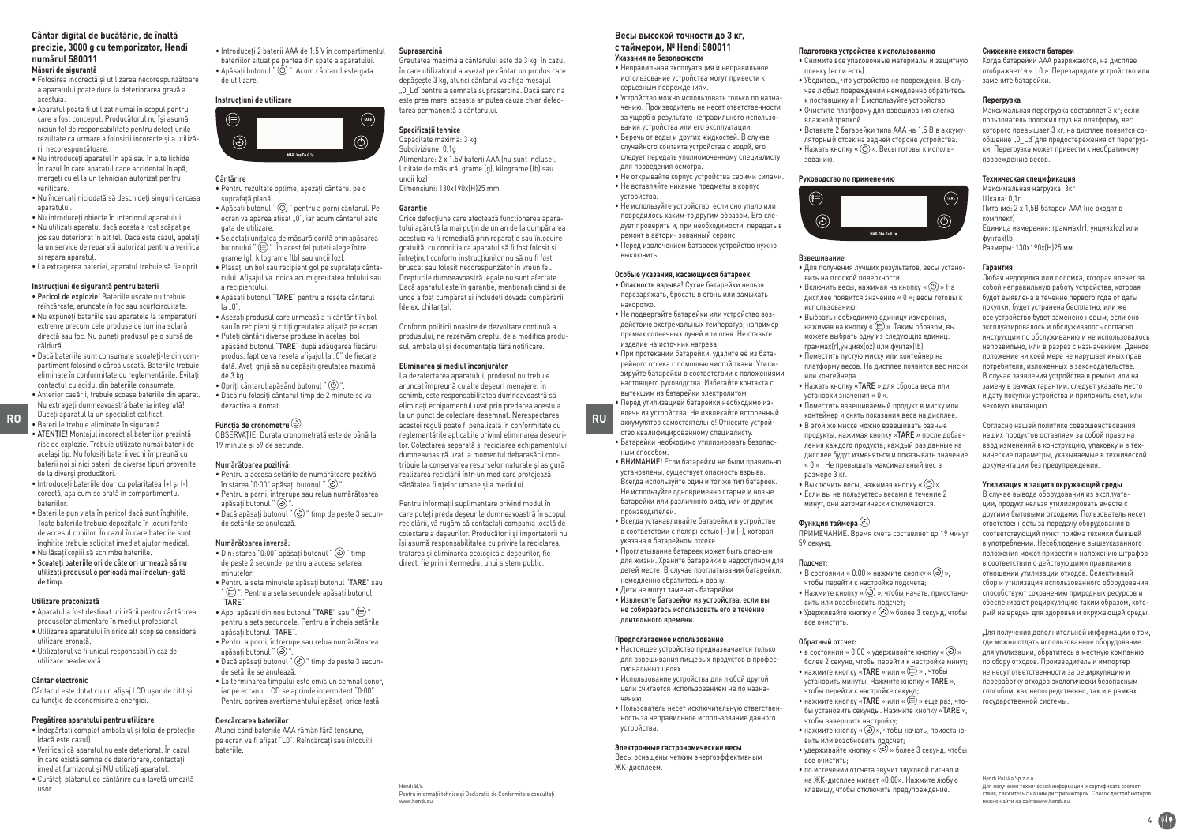#### **Cântar digital de bucătărie, de înaltă precizie, 3000 g cu temporizator, Hendi numărul 580011 Măsuri de siguranţă**

- Folosirea incorectă şi utilizarea necorespunzătoare a aparatului poate duce la deteriorarea gravă a acestuia.
- Aparatul poate fi utilizat numai în scopul pentru care a fost conceput. Producătorul nu îşi asumă niciun fel de responsabilitate pentru defecțiunile rezultate ca urmare a folosirii incorecte şi a utilizării necorespunzătoare.
- Nu introduceți aparatul în apă sau în alte lichide În cazul în care aparatul cade accidental în apă, mergeți cu el la un tehnician autorizat pentru verificare.
- Nu încercați niciodată să deschideți singuri carcasa aparatului.
- Nu introduceți obiecte în interiorul aparatului. • Nu utilizați aparatul dacă acesta a fost scăpat pe
- jos sau deteriorat în alt fel. Dacă este cazul, apelați la un service de reparații autorizat pentru a verifica şi repara aparatul.
- La extragerea bateriei, aparatul trebuie să fie oprit.

### **Instrucţiuni de siguranţă pentru baterii**

- Pericol de explozie! Bateriile uscate nu trebuie reîncărcate, aruncate în foc sau scurtcircuitate. • Nu expuneți bateriile sau aparatele la temperaturi
- extreme precum cele produse de lumina solară directă sau foc. Nu puneți produsul pe o sursă de căldură.
- Dacă bateriile sunt consumate scoateți-le din compartiment folosind o cârpă uscată. Bateriile trebuie eliminate în conformitate cu reglementările. Evitați contactul cu acidul din bateriile consumate.
- RO **ROPIS EXECUTE RUP**<br>**RUP Bateriile trebuie eliminate în siguranță.** Curie de **Funcția de cronometru** acestei reguli poate fi penalizată în conformitate cu profitate cu • Anterior casării, trebuie scoase bateriile din aparat. Nu extrageți dumneavoastră bateria integrată! Duceți aparatul la un specialist calificat.
	- Bateriile trebuie eliminate în siguranță. • ATENȚIE! Montajul incorect al bateriilor prezintă risc de explozie. Trebuie utilizate numai baterii de același tip. Nu folosiți baterii vechi împreună cu baterii noi și nici baterii de diverse tipuri provenite de la diverși producători.
	- Introduceți bateriile doar cu polaritatea (+) și (-) corectă, așa cum se arată în compartimentul bateriilor.
	- Bateriile pun viața în pericol dacă sunt înghițite. Toate bateriile trebuie depozitate în locuri ferite de accesul copiilor. În cazul în care bateriile sunt înghițite trebuie solicitat imediat ajutor medical.
	- Nu lăsați copiii să schimbe bateriile. • Scoateți bateriile ori de câte ori urmează să nu
	- utilizați produsul o perioadă mai îndelun- gată de timp.

### **Utilizare preconizată**

- Aparatul a fost destinat utilizării pentru cântărirea produselor alimentare în mediul profesional. • Utilizarea aparatului în orice alt scop se consideră
- utilizare eronată. • Utilizatorul va fi unicul responsabil în caz de utilizare neadecvată.

#### **Cântar electronic**

Cântarul este dotat cu un afişaj LCD uşor de citit şi cu funcție de economisire a energiei.

#### **Pregătirea aparatului pentru utilizare**

- Îndepărtați complet ambalajul și folia de protecție (dacă este cazul). • Verificați că aparatul nu este deteriorat. În cazul
- în care există semne de deteriorare, contactați imediat furnizorul și NU utilizați aparatul.
- Curățați platanul de cântărire cu o lavetă umezită
- ușor.

• Introduceți 2 baterii AAA de 1,5 V în compartimentul bateriilor situat pe partea din spate a aparatului. • Apăsați butonul " ". Acum cântarul este gata de utilizare. **Suprasarcină** în care utilizatorul a aşezat pe cântar un produs care

#### **Instrucţiuni de utilizare**



### Cântărire

• Pentru rezultate optime, aşezați cântarul pe o suprafață plană. • Apăsați butonul " " pentru a porni cântarul. Pe

ecran va apărea afișat  $.0"$ , iar acum cântarul este gata de utilizare. • Selectați unitatea de măsură dorită prin apăsarea

- butonului " $\circledR$ ". În acest fel puteți alege între grame (g), kilograme (lb) sau uncii (oz). • Plasați un bol sau recipient gol pe suprafața cântarului. Afişajul va indica acum greutatea bolului sau
- a recipientului. • Apăsați butonul "TARE" pentru a reseta cântarul

la "0". • Aşezați produsul care urmează a fi cântărit în bol

sau în recipient şi citiți greutatea afişată pe ecran. • Puteți cântări diverse produse în acelaşi bol apăsând butonul "TARE" după adăugarea fiecărui produs, fapt ce va reseta afișajul la "0" de fiecare dată. Aveți grijă să nu depăşiți greutatea maximă de 3 kg.  $\bullet$  Opriti cântarul apăsând butonul " $\circledcirc$ " • Dacă nu folosiți cântarul timp de 2 minute se va dezactiva automat.

### **Funcția de cronometru**

OBSERVAȚIE: Durata cronometrată este de până la 19 minute și 59 de secunde.

#### Numărătoarea pozitivă:

• Pentru a accesa setările de numărătoare pozitivă, în starea "0:00" anăsați butonul " $\langle \cdot \rangle$ " • Pentru a porni, întrerupe sau relua numărătoarea apăsați butonul "  $\circledcirc$  $\bullet$  Dacă apăsați butonul " $\odot$ " timp de peste 3 secunde setările se anulează.

#### Numărătoarea inversă:

- Din: starea "0:00" apăsați butonul "  $\odot$  " timp de peste 2 secunde, pentru a accesa setarea minutelor. • Pentru a seta minutele apăsați butonul "TARE" sau
- " (E) ". Pentru a seta secundele apăsați butonul "TARE".
- $\bullet$  Apoi apăsați din nou butonul "TARE" sau " $\circled{\varepsilon}$ " pentru a seta secundele. Pentru a încheia setările apăsați butonul "TARE".
- Pentru a porni, întrerupe sau relua numărătoarea anăsați butonul " (c) "
- Dacă apăsați butonul "  $\odot$ " timp de peste 3 secunde setările se anulează.
- La terminarea timpului este emis un semnal sonor, iar pe ecranul LCD se aprinde intermitent "0:00". Pentru oprirea avertismentului apăsați orice tastă.

#### **Descărcarea bateriilor**

Atunci când bateriile AAA rămân fără tensiune, pe ecran va fi afișat "L0". Reîncărcați sau înlocuiți bateriile.

> Hendi B.V. Pentru informații tehnice și Declarația de Conformitate consultați www.hendi.eu.

Greutatea maximă a cântarului este de 3 kg; în cazul

depăşeşte 3 kg, atunci cântarul va afişa mesajul "0\_Ld"pentru a semnala suprasarcina. Dacă sarcina este prea mare, aceasta ar putea cauza chiar defec-

Alimentare: 2 x 1.5V baterii AAA (nu sunt incluse). Unitate de măsură: grame (g), kilograme (lb) sau

Orice defecțiune care afectează funcționarea aparatului apărută la mai puțin de un an de la cumpărarea acestuia va fi remediată prin reparație sau înlocuire gratuită, cu condiția ca aparatul să fi fost folosit și întreținut conform instrucțiunilor nu să nu fi fost bruscat sau folosit necorespunzător în vreun fel. Drepturile dumneavoastră legale nu sunt afectate. Dacă aparatul este în garanție, menționați când și de unde a fost cumpărat și includeți dovada cumpărării

Conform politicii noastre de dezvoltare continuă a produsului, ne rezervăm dreptul de a modifica produsul, ambalajul și documentația fără notificare. **Eliminarea și mediul înconjurător** La dezafectarea aparatului, produsul nu trebuie aruncat împreună cu alte deșeuri menajere. În schimb, este responsabilitatea dumneavoastră să eliminați echipamentul uzat prin predarea acestuia la un punct de colectare desemnat. Nerespectarea reglementările aplicabile privind eliminarea deșeurilor. Colectarea separată și reciclarea echipamentului dumneavoastră uzat la momentul debarasării contribuie la conservarea resurselor naturale și asigură realizarea reciclării într-un mod care protejează sănătatea ființelor umane și a mediului. Pentru informații suplimentare privind modul în care puteți preda deșeurile dumneavoastră în scopul reciclării, vă rugăm să contactați compania locală de colectare a deșeurilor. Producătorii și importatorii nu își asumă responsabilitatea cu privire la reciclarea, tratarea și eliminarea ecologică a deșeurilor, fie direct, fie prin intermediul unui sistem public.

tarea permanentă a cântarului. **Specificaţii tehnice** Capacitate maximă: 3 kg Subdiviziune: 0,1g

Dimensiuni: 130x190x(H)25 mm

uncii (oz)

**Garanție**

(de ex. chitanța).

### **Весы высокой точности до 3 кг, с таймером, № Hendi 580011**

**Указания по безопасности** • Неправильная эксплуатация и неправильное использование устройства могут привести к серьезным повреждениям.

• Устройство можно использовать только по назначению. Производитель не несет ответственности за ущерб в результате неправильного использования устройства или его эксплуатации.

• Беречь от воды и других жидкостей. В случае случайного контакта устройства с водой, его следует передать уполномоченному специалисту для проведения осмотра.

• Не открывайте корпус устройства своими силами. • Не вставляйте никакие предметы в корпус устройства.

• Не используйте устройство, если оно упало или повредилось каким-то другим образом. Его следует проверить и, при необходимости, передать в ремонт в автори- зованный сервис. • Перед извлечением батареек устройство нужно выключить.

#### **Особые указания, касающиеся батареек**

- Опасность взрыва! Сухие батарейки нельзя перезаряжать, бросать в огонь или замыкать накоротко.
- Не подвергайте батарейки или устройство воздействию экстремальных температур, например прямых солнечных лучей или огня. Не ставьте изделие на источник нагрева.
- При протекании батарейки, удалите её из батарейного отсека с помощью чистой ткани. Утилизируйте батарейки в соответствии с положениями настоящего руководства. Избегайте контакта с вытекшим из батарейки электролитом. • Перед утилизацией батарейки необходимо из-

влечь из устройства. Не извлекайте встроенный аккумулятор самостоятельно! Отнесите устройство квалифицированному специалисту.

• Батарейки необходимо утилизировать безопасным способом.

• ВНИМАНИЕ! Если батарейки не были правильно установлены, существует опасность взрыва. Всегда используйте один и тот же тип батареек. Не используйте одновременно старые и новые батарейки или различного вида, или от других производителей.

• Всегда устанавливайте батарейки в устройстве в соответствии с полярностью (+) и (-), которая указана в батарейном отсеке.

• Проглатывание батареек может быть опасным для жизни. Храните батарейки в недоступном для детей месте. В случае проглатывания батарейки,

- немедленно обратитесь к врачу. • Дети не могут заменять батарейки.
- Извлеките батарейки из устройства, если вы не собираетесь использовать его в течение длительного времени.

#### **Предполагаемое использование**

- Настоящее устройство предназначается только для взвешивания пищевых продуктов в профессиональных целях. • Использование устройства для любой другой цели считается использованием не по назна-
- чению. • Пользователь несет исключительную ответственность за неправильное использование данного

устройства.

#### **Электронные гастрономические весы**

Весы оснащены четким энергоэффективным ЖК-дисплеем.

#### **Подготовка устройства к использованию**

**Снижение емкости батареи**

замените батарейки. **Перегрузка**

повреждению весов. **Техническая спецификация** Максимальная нагрузка: 3кг Шкала: 0,1г

Размеры: 130x190x(H)25 мм

чековую квитанцию.

комплект)

фунтах(lb)

**Гарантия**

Когда батарейки AAA разряжаются, на дисплее отображается « L0 ». Перезарядите устройство или

Максимальная перегрузка составляет 3 кг; если пользователь положил груз на платформу, вес которого превышает 3 кг, на дисплее появится сообщение  $\overline{0}$  Ld"лля предостережения от перегрузки. Перегрузка может привести к необратимому

Питание: 2 x 1,5В батареи ААА (не входят в

Единица измерения: граммах(г), унциях(oz) или

Любая недоделка или поломка, которая влечет за собой неправильную работу устройства, которая будет выявлена в течение первого года от даты покупки, будет устранена бесплатно, или же все устройство будет заменено новым, если оно эксплуатировалось и обслуживалось согласно инструкции по обслуживанию и не использовалось неправильно, или в разрез с назначением. Данное положение ни коей мере не нарушает иных прав потребителя, изложенных в законодательстве. В случае заявления устройства в ремонт или на замену в рамках гарантии, следует указать место и дату покупки устройства и приложить счет, или

Согласно нашей политике совершенствования наших продуктов оставляем за собой право на ввод изменений в конструкцию, упаковку и в технические параметры, указываемые в технической документации без предупреждения. **Утилизация и защита окружающей среды** В случае вывода оборудования из эксплуатации, продукт нельзя утилизировать вместе с другими бытовыми отходами. Пользователь несет ответственность за передачу оборудования в соответствующий пункт приёма техники бывшей в употреблении. Несоблюдение вышеуказанного положения может привести к наложению штрафов в соответствии с действующими правилами в отношении утилизации отходов. Селективный сбор и утилизация использованного оборудования способствуют сохранению природных ресурсов и обеспечивают рециркуляцию таким образом, который не вреден для здоровья и окружающей среды. Для получения дополнительной информации о том, где можно отдать использованное оборудование для утилизации, обратитесь в местную компанию по сбору отходов. Производитель и импортер не несут ответственности за рециркуляцию и переработку отходов экологически безопасным способом, как непосредственно, так и в рамках

- Снимите все упаковочные материалы и защитную пленку (если есть).
- Убедитесь, что устройство не повреждено. В случае любых повреждений немедленно обратитесь
- к поставщику и НЕ используйте устройство. • Очистите платформу для взвешивания слегка влажной тряпкой.
- $\bullet$  Вставьте 2 батарейки типа  $\Delta\Delta\Delta$  на 1,5 В в аккумуляторный отсек на задней стороне устройства. • Нажать кнопку « ® ». Весы готовы к использованию.

#### **Руководство по применению**



#### Взвешивание

- Для получения лучших результатов, весы установить на плоской поверхности.
- Включить весы, нажимая на кнопку « $\circledcirc$ » На дисплее появится значение « 0 »; весы готовы к использованию.
- Выбрать необходимую единицу измерения, нажимая на кнопку « ». Таким образом, вы можете выбрать одну из следующих единиц: граммах(г),унциях(oz) или фунтах(lb).
- Поместить пустую миску или контейнер на платформу весов. На дисплее появится вес миски или контейнера.
- Нажать кнопку «TARE » для сброса веса или установки значения « 0 ».
- Поместить взвешиваемый продукт в миску или контейнер и снять показания веса на дисплее.
- В этой же миске можно взвешивать разные продукты, нажимая кнопку «TARE » после добавления каждого продукта; каждый раз данные на дисплее будут изменяться и показывать значение « 0 » . Не превышать максимальный вес в размере 3 кг.
- Выключить весы, нажимая кнопку « $\circledcirc$ ». • Если вы не пользуетесь весами в течение 2 минут, они автоматически отключаются.

#### **Функция таймера**

ПРИМЕЧАНИЕ. Время счета составляет до 19 минут 59 секунд.

#### Подсчет:

- В состоянии « 0:00 » нажмите кнопку «  $\odot$  ». чтобы перейти к настройке подсчета;
- Нажмите кнопку «  $\odot$  », чтобы начать, приостановить или возобновить подсчет;
- Улерживайте кнопку « $\odot$ » более 3 секунд, чтобы все очистить.

#### Обратный отсчет:

все очистить;

• в состоянии « $0.00$  » удерживайте кнопку « $\circledcirc$ ) » более 2 секунд, чтобы перейти к настройке минут; • нажмите кнопку «ТАRE » или « » , чтобы установить минуты. Нажмите кнопку « TARE »,

• нажмите кнопку « », чтобы начать, приостано-

• удерживайте кнопку «  $\odot$  » более 3 секунд, чтобы

• по истечении отсчета звучит звуковой сигнал и на ЖК-дисплее мигает «0:00». Нажмите любую клавишу, чтобы отключить предупреждение.

чтобы перейти к настройке секунд; • нажмите кнопку «ТАRE » или « $\circledast$  » еще раз, чтобы установить секунды. Нажмите кнопку «TARE »,

чтобы завершить настройку;

вить или возобновить подсчет;

Hendi Polska Sp.z o.o.

можно найти на сайтеwww.hendi.eu.

государственной системы.

Для получения технической информации и сертификата соответствия, свяжитесь с нашим дистрибьютором. Список дистрибьюторов

 $4$  CD